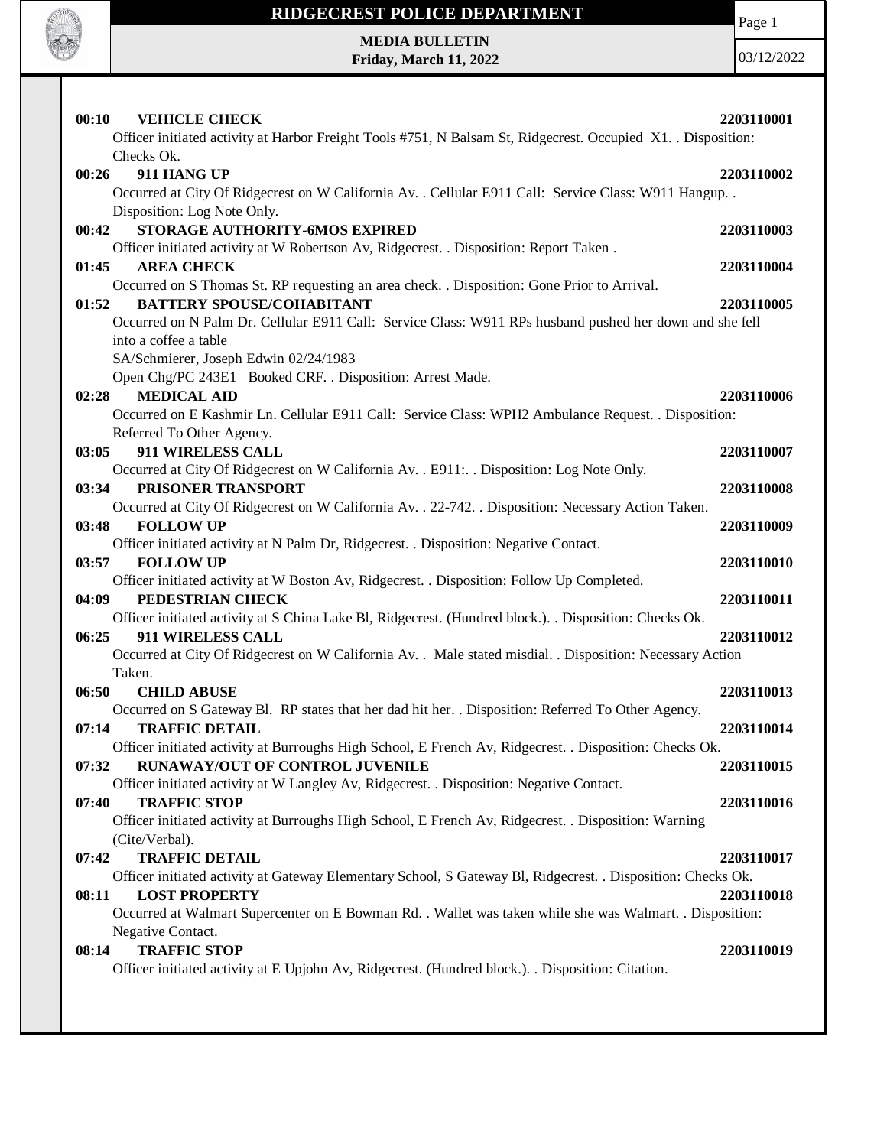

# **RIDGECREST POLICE DEPARTMENT**

Page 1

**MEDIA BULLETIN Friday, March 11, 2022**

| Officer initiated activity at Harbor Freight Tools #751, N Balsam St, Ridgecrest. Occupied X1. . Disposition:<br>Checks Ok.<br>911 HANG UP<br>2203110002<br>00:26<br>Occurred at City Of Ridgecrest on W California Av. . Cellular E911 Call: Service Class: W911 Hangup. .<br>Disposition: Log Note Only.<br>STORAGE AUTHORITY-6MOS EXPIRED<br>00:42<br>2203110003<br>Officer initiated activity at W Robertson Av, Ridgecrest. . Disposition: Report Taken.<br><b>AREA CHECK</b><br>01:45<br>2203110004<br>Occurred on S Thomas St. RP requesting an area check. . Disposition: Gone Prior to Arrival.<br><b>BATTERY SPOUSE/COHABITANT</b><br>01:52<br>2203110005<br>Occurred on N Palm Dr. Cellular E911 Call: Service Class: W911 RPs husband pushed her down and she fell<br>into a coffee a table<br>SA/Schmierer, Joseph Edwin 02/24/1983<br>Open Chg/PC 243E1 Booked CRF. . Disposition: Arrest Made.<br><b>MEDICAL AID</b><br>2203110006<br>02:28<br>Occurred on E Kashmir Ln. Cellular E911 Call: Service Class: WPH2 Ambulance Request. . Disposition:<br>Referred To Other Agency.<br>911 WIRELESS CALL<br>03:05<br>2203110007<br>Occurred at City Of Ridgecrest on W California Av. . E911: Disposition: Log Note Only.<br>03:34<br>PRISONER TRANSPORT<br>2203110008<br>Occurred at City Of Ridgecrest on W California Av. . 22-742. . Disposition: Necessary Action Taken.<br><b>FOLLOW UP</b><br>03:48<br>2203110009<br>Officer initiated activity at N Palm Dr, Ridgecrest. . Disposition: Negative Contact.<br>03:57<br><b>FOLLOW UP</b><br>2203110010<br>Officer initiated activity at W Boston Av, Ridgecrest. . Disposition: Follow Up Completed.<br>PEDESTRIAN CHECK<br>04:09<br>2203110011<br>Officer initiated activity at S China Lake Bl, Ridgecrest. (Hundred block.). . Disposition: Checks Ok.<br>911 WIRELESS CALL<br>06:25<br>2203110012<br>Occurred at City Of Ridgecrest on W California Av. . Male stated misdial. . Disposition: Necessary Action<br>Taken.<br>06:50<br><b>CHILD ABUSE</b><br>2203110013<br>Occurred on S Gateway Bl. RP states that her dad hit her. . Disposition: Referred To Other Agency.<br>07:14<br><b>TRAFFIC DETAIL</b><br>2203110014<br>Officer initiated activity at Burroughs High School, E French Av, Ridgecrest. . Disposition: Checks Ok.<br>07:32<br>RUNAWAY/OUT OF CONTROL JUVENILE<br>2203110015<br>Officer initiated activity at W Langley Av, Ridgecrest. . Disposition: Negative Contact.<br><b>TRAFFIC STOP</b><br>07:40<br>2203110016<br>Officer initiated activity at Burroughs High School, E French Av, Ridgecrest. . Disposition: Warning<br>(Cite/Verbal).<br><b>TRAFFIC DETAIL</b><br>07:42<br>2203110017<br>Officer initiated activity at Gateway Elementary School, S Gateway Bl, Ridgecrest. . Disposition: Checks Ok.<br><b>LOST PROPERTY</b><br>08:11<br>2203110018<br>Occurred at Walmart Supercenter on E Bowman Rd. . Wallet was taken while she was Walmart. . Disposition: |  |
|----------------------------------------------------------------------------------------------------------------------------------------------------------------------------------------------------------------------------------------------------------------------------------------------------------------------------------------------------------------------------------------------------------------------------------------------------------------------------------------------------------------------------------------------------------------------------------------------------------------------------------------------------------------------------------------------------------------------------------------------------------------------------------------------------------------------------------------------------------------------------------------------------------------------------------------------------------------------------------------------------------------------------------------------------------------------------------------------------------------------------------------------------------------------------------------------------------------------------------------------------------------------------------------------------------------------------------------------------------------------------------------------------------------------------------------------------------------------------------------------------------------------------------------------------------------------------------------------------------------------------------------------------------------------------------------------------------------------------------------------------------------------------------------------------------------------------------------------------------------------------------------------------------------------------------------------------------------------------------------------------------------------------------------------------------------------------------------------------------------------------------------------------------------------------------------------------------------------------------------------------------------------------------------------------------------------------------------------------------------------------------------------------------------------------------------------------------------------------------------------------------------------------------------------------------------------------------------------------------------------------------------------------------------------------------------------------------------------------------------------------------------------------------------------------------------------------------------------------------------------------------------------------------------------------------------------------------------------|--|
|                                                                                                                                                                                                                                                                                                                                                                                                                                                                                                                                                                                                                                                                                                                                                                                                                                                                                                                                                                                                                                                                                                                                                                                                                                                                                                                                                                                                                                                                                                                                                                                                                                                                                                                                                                                                                                                                                                                                                                                                                                                                                                                                                                                                                                                                                                                                                                                                                                                                                                                                                                                                                                                                                                                                                                                                                                                                                                                                                                      |  |
|                                                                                                                                                                                                                                                                                                                                                                                                                                                                                                                                                                                                                                                                                                                                                                                                                                                                                                                                                                                                                                                                                                                                                                                                                                                                                                                                                                                                                                                                                                                                                                                                                                                                                                                                                                                                                                                                                                                                                                                                                                                                                                                                                                                                                                                                                                                                                                                                                                                                                                                                                                                                                                                                                                                                                                                                                                                                                                                                                                      |  |
|                                                                                                                                                                                                                                                                                                                                                                                                                                                                                                                                                                                                                                                                                                                                                                                                                                                                                                                                                                                                                                                                                                                                                                                                                                                                                                                                                                                                                                                                                                                                                                                                                                                                                                                                                                                                                                                                                                                                                                                                                                                                                                                                                                                                                                                                                                                                                                                                                                                                                                                                                                                                                                                                                                                                                                                                                                                                                                                                                                      |  |
|                                                                                                                                                                                                                                                                                                                                                                                                                                                                                                                                                                                                                                                                                                                                                                                                                                                                                                                                                                                                                                                                                                                                                                                                                                                                                                                                                                                                                                                                                                                                                                                                                                                                                                                                                                                                                                                                                                                                                                                                                                                                                                                                                                                                                                                                                                                                                                                                                                                                                                                                                                                                                                                                                                                                                                                                                                                                                                                                                                      |  |
|                                                                                                                                                                                                                                                                                                                                                                                                                                                                                                                                                                                                                                                                                                                                                                                                                                                                                                                                                                                                                                                                                                                                                                                                                                                                                                                                                                                                                                                                                                                                                                                                                                                                                                                                                                                                                                                                                                                                                                                                                                                                                                                                                                                                                                                                                                                                                                                                                                                                                                                                                                                                                                                                                                                                                                                                                                                                                                                                                                      |  |
|                                                                                                                                                                                                                                                                                                                                                                                                                                                                                                                                                                                                                                                                                                                                                                                                                                                                                                                                                                                                                                                                                                                                                                                                                                                                                                                                                                                                                                                                                                                                                                                                                                                                                                                                                                                                                                                                                                                                                                                                                                                                                                                                                                                                                                                                                                                                                                                                                                                                                                                                                                                                                                                                                                                                                                                                                                                                                                                                                                      |  |
|                                                                                                                                                                                                                                                                                                                                                                                                                                                                                                                                                                                                                                                                                                                                                                                                                                                                                                                                                                                                                                                                                                                                                                                                                                                                                                                                                                                                                                                                                                                                                                                                                                                                                                                                                                                                                                                                                                                                                                                                                                                                                                                                                                                                                                                                                                                                                                                                                                                                                                                                                                                                                                                                                                                                                                                                                                                                                                                                                                      |  |
|                                                                                                                                                                                                                                                                                                                                                                                                                                                                                                                                                                                                                                                                                                                                                                                                                                                                                                                                                                                                                                                                                                                                                                                                                                                                                                                                                                                                                                                                                                                                                                                                                                                                                                                                                                                                                                                                                                                                                                                                                                                                                                                                                                                                                                                                                                                                                                                                                                                                                                                                                                                                                                                                                                                                                                                                                                                                                                                                                                      |  |
|                                                                                                                                                                                                                                                                                                                                                                                                                                                                                                                                                                                                                                                                                                                                                                                                                                                                                                                                                                                                                                                                                                                                                                                                                                                                                                                                                                                                                                                                                                                                                                                                                                                                                                                                                                                                                                                                                                                                                                                                                                                                                                                                                                                                                                                                                                                                                                                                                                                                                                                                                                                                                                                                                                                                                                                                                                                                                                                                                                      |  |
|                                                                                                                                                                                                                                                                                                                                                                                                                                                                                                                                                                                                                                                                                                                                                                                                                                                                                                                                                                                                                                                                                                                                                                                                                                                                                                                                                                                                                                                                                                                                                                                                                                                                                                                                                                                                                                                                                                                                                                                                                                                                                                                                                                                                                                                                                                                                                                                                                                                                                                                                                                                                                                                                                                                                                                                                                                                                                                                                                                      |  |
|                                                                                                                                                                                                                                                                                                                                                                                                                                                                                                                                                                                                                                                                                                                                                                                                                                                                                                                                                                                                                                                                                                                                                                                                                                                                                                                                                                                                                                                                                                                                                                                                                                                                                                                                                                                                                                                                                                                                                                                                                                                                                                                                                                                                                                                                                                                                                                                                                                                                                                                                                                                                                                                                                                                                                                                                                                                                                                                                                                      |  |
|                                                                                                                                                                                                                                                                                                                                                                                                                                                                                                                                                                                                                                                                                                                                                                                                                                                                                                                                                                                                                                                                                                                                                                                                                                                                                                                                                                                                                                                                                                                                                                                                                                                                                                                                                                                                                                                                                                                                                                                                                                                                                                                                                                                                                                                                                                                                                                                                                                                                                                                                                                                                                                                                                                                                                                                                                                                                                                                                                                      |  |
|                                                                                                                                                                                                                                                                                                                                                                                                                                                                                                                                                                                                                                                                                                                                                                                                                                                                                                                                                                                                                                                                                                                                                                                                                                                                                                                                                                                                                                                                                                                                                                                                                                                                                                                                                                                                                                                                                                                                                                                                                                                                                                                                                                                                                                                                                                                                                                                                                                                                                                                                                                                                                                                                                                                                                                                                                                                                                                                                                                      |  |
|                                                                                                                                                                                                                                                                                                                                                                                                                                                                                                                                                                                                                                                                                                                                                                                                                                                                                                                                                                                                                                                                                                                                                                                                                                                                                                                                                                                                                                                                                                                                                                                                                                                                                                                                                                                                                                                                                                                                                                                                                                                                                                                                                                                                                                                                                                                                                                                                                                                                                                                                                                                                                                                                                                                                                                                                                                                                                                                                                                      |  |
|                                                                                                                                                                                                                                                                                                                                                                                                                                                                                                                                                                                                                                                                                                                                                                                                                                                                                                                                                                                                                                                                                                                                                                                                                                                                                                                                                                                                                                                                                                                                                                                                                                                                                                                                                                                                                                                                                                                                                                                                                                                                                                                                                                                                                                                                                                                                                                                                                                                                                                                                                                                                                                                                                                                                                                                                                                                                                                                                                                      |  |
|                                                                                                                                                                                                                                                                                                                                                                                                                                                                                                                                                                                                                                                                                                                                                                                                                                                                                                                                                                                                                                                                                                                                                                                                                                                                                                                                                                                                                                                                                                                                                                                                                                                                                                                                                                                                                                                                                                                                                                                                                                                                                                                                                                                                                                                                                                                                                                                                                                                                                                                                                                                                                                                                                                                                                                                                                                                                                                                                                                      |  |
|                                                                                                                                                                                                                                                                                                                                                                                                                                                                                                                                                                                                                                                                                                                                                                                                                                                                                                                                                                                                                                                                                                                                                                                                                                                                                                                                                                                                                                                                                                                                                                                                                                                                                                                                                                                                                                                                                                                                                                                                                                                                                                                                                                                                                                                                                                                                                                                                                                                                                                                                                                                                                                                                                                                                                                                                                                                                                                                                                                      |  |
|                                                                                                                                                                                                                                                                                                                                                                                                                                                                                                                                                                                                                                                                                                                                                                                                                                                                                                                                                                                                                                                                                                                                                                                                                                                                                                                                                                                                                                                                                                                                                                                                                                                                                                                                                                                                                                                                                                                                                                                                                                                                                                                                                                                                                                                                                                                                                                                                                                                                                                                                                                                                                                                                                                                                                                                                                                                                                                                                                                      |  |
|                                                                                                                                                                                                                                                                                                                                                                                                                                                                                                                                                                                                                                                                                                                                                                                                                                                                                                                                                                                                                                                                                                                                                                                                                                                                                                                                                                                                                                                                                                                                                                                                                                                                                                                                                                                                                                                                                                                                                                                                                                                                                                                                                                                                                                                                                                                                                                                                                                                                                                                                                                                                                                                                                                                                                                                                                                                                                                                                                                      |  |
|                                                                                                                                                                                                                                                                                                                                                                                                                                                                                                                                                                                                                                                                                                                                                                                                                                                                                                                                                                                                                                                                                                                                                                                                                                                                                                                                                                                                                                                                                                                                                                                                                                                                                                                                                                                                                                                                                                                                                                                                                                                                                                                                                                                                                                                                                                                                                                                                                                                                                                                                                                                                                                                                                                                                                                                                                                                                                                                                                                      |  |
|                                                                                                                                                                                                                                                                                                                                                                                                                                                                                                                                                                                                                                                                                                                                                                                                                                                                                                                                                                                                                                                                                                                                                                                                                                                                                                                                                                                                                                                                                                                                                                                                                                                                                                                                                                                                                                                                                                                                                                                                                                                                                                                                                                                                                                                                                                                                                                                                                                                                                                                                                                                                                                                                                                                                                                                                                                                                                                                                                                      |  |
|                                                                                                                                                                                                                                                                                                                                                                                                                                                                                                                                                                                                                                                                                                                                                                                                                                                                                                                                                                                                                                                                                                                                                                                                                                                                                                                                                                                                                                                                                                                                                                                                                                                                                                                                                                                                                                                                                                                                                                                                                                                                                                                                                                                                                                                                                                                                                                                                                                                                                                                                                                                                                                                                                                                                                                                                                                                                                                                                                                      |  |
|                                                                                                                                                                                                                                                                                                                                                                                                                                                                                                                                                                                                                                                                                                                                                                                                                                                                                                                                                                                                                                                                                                                                                                                                                                                                                                                                                                                                                                                                                                                                                                                                                                                                                                                                                                                                                                                                                                                                                                                                                                                                                                                                                                                                                                                                                                                                                                                                                                                                                                                                                                                                                                                                                                                                                                                                                                                                                                                                                                      |  |
|                                                                                                                                                                                                                                                                                                                                                                                                                                                                                                                                                                                                                                                                                                                                                                                                                                                                                                                                                                                                                                                                                                                                                                                                                                                                                                                                                                                                                                                                                                                                                                                                                                                                                                                                                                                                                                                                                                                                                                                                                                                                                                                                                                                                                                                                                                                                                                                                                                                                                                                                                                                                                                                                                                                                                                                                                                                                                                                                                                      |  |
|                                                                                                                                                                                                                                                                                                                                                                                                                                                                                                                                                                                                                                                                                                                                                                                                                                                                                                                                                                                                                                                                                                                                                                                                                                                                                                                                                                                                                                                                                                                                                                                                                                                                                                                                                                                                                                                                                                                                                                                                                                                                                                                                                                                                                                                                                                                                                                                                                                                                                                                                                                                                                                                                                                                                                                                                                                                                                                                                                                      |  |
|                                                                                                                                                                                                                                                                                                                                                                                                                                                                                                                                                                                                                                                                                                                                                                                                                                                                                                                                                                                                                                                                                                                                                                                                                                                                                                                                                                                                                                                                                                                                                                                                                                                                                                                                                                                                                                                                                                                                                                                                                                                                                                                                                                                                                                                                                                                                                                                                                                                                                                                                                                                                                                                                                                                                                                                                                                                                                                                                                                      |  |
|                                                                                                                                                                                                                                                                                                                                                                                                                                                                                                                                                                                                                                                                                                                                                                                                                                                                                                                                                                                                                                                                                                                                                                                                                                                                                                                                                                                                                                                                                                                                                                                                                                                                                                                                                                                                                                                                                                                                                                                                                                                                                                                                                                                                                                                                                                                                                                                                                                                                                                                                                                                                                                                                                                                                                                                                                                                                                                                                                                      |  |
|                                                                                                                                                                                                                                                                                                                                                                                                                                                                                                                                                                                                                                                                                                                                                                                                                                                                                                                                                                                                                                                                                                                                                                                                                                                                                                                                                                                                                                                                                                                                                                                                                                                                                                                                                                                                                                                                                                                                                                                                                                                                                                                                                                                                                                                                                                                                                                                                                                                                                                                                                                                                                                                                                                                                                                                                                                                                                                                                                                      |  |
|                                                                                                                                                                                                                                                                                                                                                                                                                                                                                                                                                                                                                                                                                                                                                                                                                                                                                                                                                                                                                                                                                                                                                                                                                                                                                                                                                                                                                                                                                                                                                                                                                                                                                                                                                                                                                                                                                                                                                                                                                                                                                                                                                                                                                                                                                                                                                                                                                                                                                                                                                                                                                                                                                                                                                                                                                                                                                                                                                                      |  |
|                                                                                                                                                                                                                                                                                                                                                                                                                                                                                                                                                                                                                                                                                                                                                                                                                                                                                                                                                                                                                                                                                                                                                                                                                                                                                                                                                                                                                                                                                                                                                                                                                                                                                                                                                                                                                                                                                                                                                                                                                                                                                                                                                                                                                                                                                                                                                                                                                                                                                                                                                                                                                                                                                                                                                                                                                                                                                                                                                                      |  |
|                                                                                                                                                                                                                                                                                                                                                                                                                                                                                                                                                                                                                                                                                                                                                                                                                                                                                                                                                                                                                                                                                                                                                                                                                                                                                                                                                                                                                                                                                                                                                                                                                                                                                                                                                                                                                                                                                                                                                                                                                                                                                                                                                                                                                                                                                                                                                                                                                                                                                                                                                                                                                                                                                                                                                                                                                                                                                                                                                                      |  |
|                                                                                                                                                                                                                                                                                                                                                                                                                                                                                                                                                                                                                                                                                                                                                                                                                                                                                                                                                                                                                                                                                                                                                                                                                                                                                                                                                                                                                                                                                                                                                                                                                                                                                                                                                                                                                                                                                                                                                                                                                                                                                                                                                                                                                                                                                                                                                                                                                                                                                                                                                                                                                                                                                                                                                                                                                                                                                                                                                                      |  |
|                                                                                                                                                                                                                                                                                                                                                                                                                                                                                                                                                                                                                                                                                                                                                                                                                                                                                                                                                                                                                                                                                                                                                                                                                                                                                                                                                                                                                                                                                                                                                                                                                                                                                                                                                                                                                                                                                                                                                                                                                                                                                                                                                                                                                                                                                                                                                                                                                                                                                                                                                                                                                                                                                                                                                                                                                                                                                                                                                                      |  |
|                                                                                                                                                                                                                                                                                                                                                                                                                                                                                                                                                                                                                                                                                                                                                                                                                                                                                                                                                                                                                                                                                                                                                                                                                                                                                                                                                                                                                                                                                                                                                                                                                                                                                                                                                                                                                                                                                                                                                                                                                                                                                                                                                                                                                                                                                                                                                                                                                                                                                                                                                                                                                                                                                                                                                                                                                                                                                                                                                                      |  |
|                                                                                                                                                                                                                                                                                                                                                                                                                                                                                                                                                                                                                                                                                                                                                                                                                                                                                                                                                                                                                                                                                                                                                                                                                                                                                                                                                                                                                                                                                                                                                                                                                                                                                                                                                                                                                                                                                                                                                                                                                                                                                                                                                                                                                                                                                                                                                                                                                                                                                                                                                                                                                                                                                                                                                                                                                                                                                                                                                                      |  |
|                                                                                                                                                                                                                                                                                                                                                                                                                                                                                                                                                                                                                                                                                                                                                                                                                                                                                                                                                                                                                                                                                                                                                                                                                                                                                                                                                                                                                                                                                                                                                                                                                                                                                                                                                                                                                                                                                                                                                                                                                                                                                                                                                                                                                                                                                                                                                                                                                                                                                                                                                                                                                                                                                                                                                                                                                                                                                                                                                                      |  |
|                                                                                                                                                                                                                                                                                                                                                                                                                                                                                                                                                                                                                                                                                                                                                                                                                                                                                                                                                                                                                                                                                                                                                                                                                                                                                                                                                                                                                                                                                                                                                                                                                                                                                                                                                                                                                                                                                                                                                                                                                                                                                                                                                                                                                                                                                                                                                                                                                                                                                                                                                                                                                                                                                                                                                                                                                                                                                                                                                                      |  |
|                                                                                                                                                                                                                                                                                                                                                                                                                                                                                                                                                                                                                                                                                                                                                                                                                                                                                                                                                                                                                                                                                                                                                                                                                                                                                                                                                                                                                                                                                                                                                                                                                                                                                                                                                                                                                                                                                                                                                                                                                                                                                                                                                                                                                                                                                                                                                                                                                                                                                                                                                                                                                                                                                                                                                                                                                                                                                                                                                                      |  |
|                                                                                                                                                                                                                                                                                                                                                                                                                                                                                                                                                                                                                                                                                                                                                                                                                                                                                                                                                                                                                                                                                                                                                                                                                                                                                                                                                                                                                                                                                                                                                                                                                                                                                                                                                                                                                                                                                                                                                                                                                                                                                                                                                                                                                                                                                                                                                                                                                                                                                                                                                                                                                                                                                                                                                                                                                                                                                                                                                                      |  |
|                                                                                                                                                                                                                                                                                                                                                                                                                                                                                                                                                                                                                                                                                                                                                                                                                                                                                                                                                                                                                                                                                                                                                                                                                                                                                                                                                                                                                                                                                                                                                                                                                                                                                                                                                                                                                                                                                                                                                                                                                                                                                                                                                                                                                                                                                                                                                                                                                                                                                                                                                                                                                                                                                                                                                                                                                                                                                                                                                                      |  |
|                                                                                                                                                                                                                                                                                                                                                                                                                                                                                                                                                                                                                                                                                                                                                                                                                                                                                                                                                                                                                                                                                                                                                                                                                                                                                                                                                                                                                                                                                                                                                                                                                                                                                                                                                                                                                                                                                                                                                                                                                                                                                                                                                                                                                                                                                                                                                                                                                                                                                                                                                                                                                                                                                                                                                                                                                                                                                                                                                                      |  |
|                                                                                                                                                                                                                                                                                                                                                                                                                                                                                                                                                                                                                                                                                                                                                                                                                                                                                                                                                                                                                                                                                                                                                                                                                                                                                                                                                                                                                                                                                                                                                                                                                                                                                                                                                                                                                                                                                                                                                                                                                                                                                                                                                                                                                                                                                                                                                                                                                                                                                                                                                                                                                                                                                                                                                                                                                                                                                                                                                                      |  |
|                                                                                                                                                                                                                                                                                                                                                                                                                                                                                                                                                                                                                                                                                                                                                                                                                                                                                                                                                                                                                                                                                                                                                                                                                                                                                                                                                                                                                                                                                                                                                                                                                                                                                                                                                                                                                                                                                                                                                                                                                                                                                                                                                                                                                                                                                                                                                                                                                                                                                                                                                                                                                                                                                                                                                                                                                                                                                                                                                                      |  |
| Negative Contact.<br><b>TRAFFIC STOP</b><br>08:14                                                                                                                                                                                                                                                                                                                                                                                                                                                                                                                                                                                                                                                                                                                                                                                                                                                                                                                                                                                                                                                                                                                                                                                                                                                                                                                                                                                                                                                                                                                                                                                                                                                                                                                                                                                                                                                                                                                                                                                                                                                                                                                                                                                                                                                                                                                                                                                                                                                                                                                                                                                                                                                                                                                                                                                                                                                                                                                    |  |
| 2203110019                                                                                                                                                                                                                                                                                                                                                                                                                                                                                                                                                                                                                                                                                                                                                                                                                                                                                                                                                                                                                                                                                                                                                                                                                                                                                                                                                                                                                                                                                                                                                                                                                                                                                                                                                                                                                                                                                                                                                                                                                                                                                                                                                                                                                                                                                                                                                                                                                                                                                                                                                                                                                                                                                                                                                                                                                                                                                                                                                           |  |
| Officer initiated activity at E Upjohn Av, Ridgecrest. (Hundred block.). Disposition: Citation.                                                                                                                                                                                                                                                                                                                                                                                                                                                                                                                                                                                                                                                                                                                                                                                                                                                                                                                                                                                                                                                                                                                                                                                                                                                                                                                                                                                                                                                                                                                                                                                                                                                                                                                                                                                                                                                                                                                                                                                                                                                                                                                                                                                                                                                                                                                                                                                                                                                                                                                                                                                                                                                                                                                                                                                                                                                                      |  |
|                                                                                                                                                                                                                                                                                                                                                                                                                                                                                                                                                                                                                                                                                                                                                                                                                                                                                                                                                                                                                                                                                                                                                                                                                                                                                                                                                                                                                                                                                                                                                                                                                                                                                                                                                                                                                                                                                                                                                                                                                                                                                                                                                                                                                                                                                                                                                                                                                                                                                                                                                                                                                                                                                                                                                                                                                                                                                                                                                                      |  |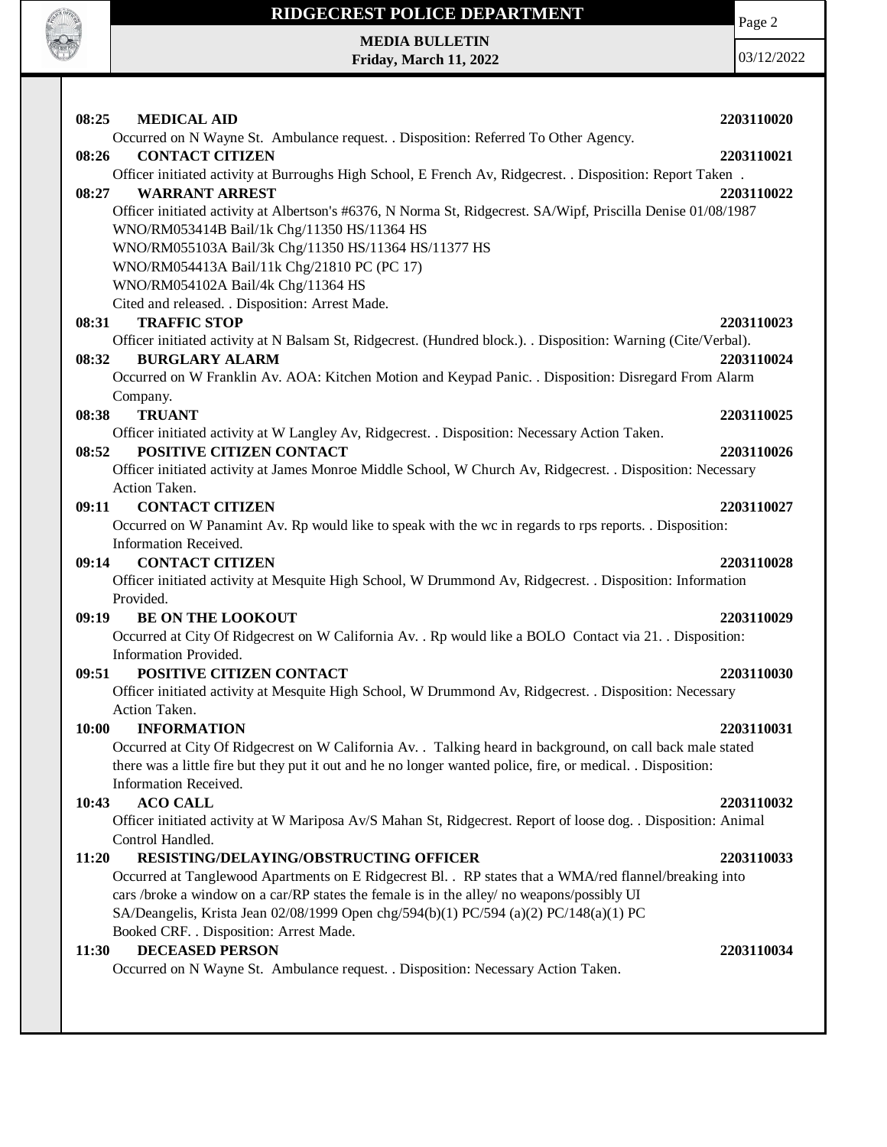

## **RIDGECREST POLICE DEPARTMENT MEDIA BULLETIN**

**Friday, March 11, 2022**

Page 2

| 08:25<br><b>MEDICAL AID</b>                                                                                    | 2203110020 |
|----------------------------------------------------------------------------------------------------------------|------------|
| Occurred on N Wayne St. Ambulance request. . Disposition: Referred To Other Agency.                            |            |
| <b>CONTACT CITIZEN</b><br>08:26                                                                                | 2203110021 |
| Officer initiated activity at Burroughs High School, E French Av, Ridgecrest. . Disposition: Report Taken.     |            |
| <b>WARRANT ARREST</b><br>08:27                                                                                 | 2203110022 |
| Officer initiated activity at Albertson's #6376, N Norma St, Ridgecrest. SA/Wipf, Priscilla Denise 01/08/1987  |            |
| WNO/RM053414B Bail/1k Chg/11350 HS/11364 HS                                                                    |            |
| WNO/RM055103A Bail/3k Chg/11350 HS/11364 HS/11377 HS                                                           |            |
| WNO/RM054413A Bail/11k Chg/21810 PC (PC 17)                                                                    |            |
| WNO/RM054102A Bail/4k Chg/11364 HS                                                                             |            |
| Cited and released. . Disposition: Arrest Made.                                                                |            |
| <b>TRAFFIC STOP</b><br>08:31                                                                                   | 2203110023 |
| Officer initiated activity at N Balsam St, Ridgecrest. (Hundred block.). . Disposition: Warning (Cite/Verbal). |            |
| <b>BURGLARY ALARM</b><br>08:32                                                                                 | 2203110024 |
| Occurred on W Franklin Av. AOA: Kitchen Motion and Keypad Panic. . Disposition: Disregard From Alarm           |            |
| Company.                                                                                                       |            |
| <b>TRUANT</b><br>08:38                                                                                         | 2203110025 |
| Officer initiated activity at W Langley Av, Ridgecrest. . Disposition: Necessary Action Taken.                 |            |
| POSITIVE CITIZEN CONTACT<br>08:52                                                                              | 2203110026 |
| Officer initiated activity at James Monroe Middle School, W Church Av, Ridgecrest. . Disposition: Necessary    |            |
| Action Taken.                                                                                                  |            |
| <b>CONTACT CITIZEN</b><br>09:11                                                                                | 2203110027 |
| Occurred on W Panamint Av. Rp would like to speak with the wc in regards to rps reports. . Disposition:        |            |
| Information Received.                                                                                          |            |
| 09:14 CONTACT CITIZEN                                                                                          | 2203110028 |
| Officer initiated activity at Mesquite High School, W Drummond Av, Ridgecrest. . Disposition: Information      |            |
| Provided.                                                                                                      |            |
| <b>BE ON THE LOOKOUT</b><br>09:19                                                                              | 2203110029 |
| Occurred at City Of Ridgecrest on W California Av. . Rp would like a BOLO Contact via 21. . Disposition:       |            |
| Information Provided.                                                                                          |            |
| POSITIVE CITIZEN CONTACT<br>09:51                                                                              | 2203110030 |
| Officer initiated activity at Mesquite High School, W Drummond Av, Ridgecrest. . Disposition: Necessary        |            |
| Action Taken.                                                                                                  |            |
| <b>INFORMATION</b><br>10:00                                                                                    | 2203110031 |
| Occurred at City Of Ridgecrest on W California Av. . Talking heard in background, on call back male stated     |            |
| there was a little fire but they put it out and he no longer wanted police, fire, or medical. . Disposition:   |            |
| Information Received.                                                                                          |            |
| 10:43<br><b>ACO CALL</b>                                                                                       | 2203110032 |
| Officer initiated activity at W Mariposa Av/S Mahan St, Ridgecrest. Report of loose dog. . Disposition: Animal |            |
| Control Handled.                                                                                               |            |
| 11:20<br>RESISTING/DELAYING/OBSTRUCTING OFFICER                                                                | 2203110033 |
| Occurred at Tanglewood Apartments on E Ridgecrest Bl. . RP states that a WMA/red flannel/breaking into         |            |
| cars /broke a window on a car/RP states the female is in the alley/ no weapons/possibly UI                     |            |
| SA/Deangelis, Krista Jean 02/08/1999 Open chg/594(b)(1) PC/594 (a)(2) PC/148(a)(1) PC                          |            |
| Booked CRF. . Disposition: Arrest Made.                                                                        |            |
| <b>DECEASED PERSON</b><br>11:30                                                                                | 2203110034 |
| Occurred on N Wayne St. Ambulance request. . Disposition: Necessary Action Taken.                              |            |
|                                                                                                                |            |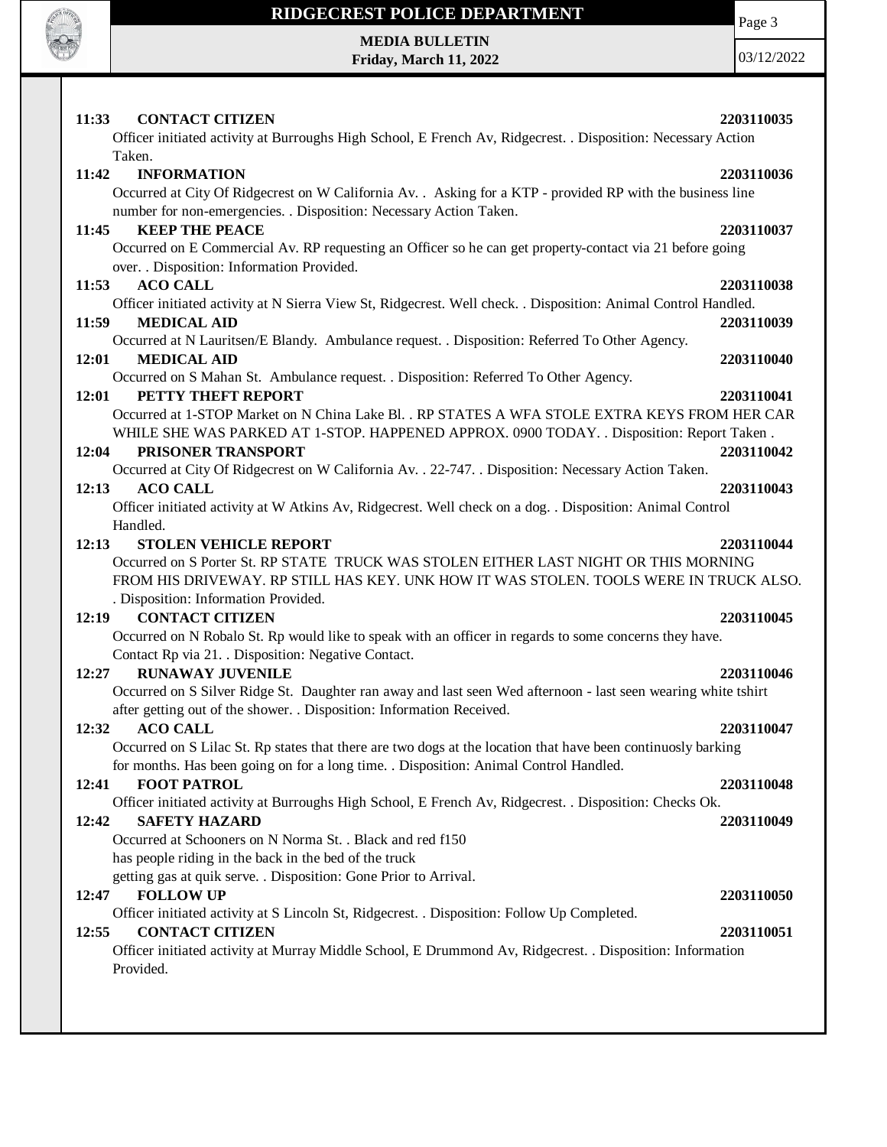

### **RIDGECREST POLICE DEPARTMENT MEDIA BULLETIN**

**Friday, March 11, 2022**

Page 3

| 11:33<br><b>CONTACT CITIZEN</b>                                                                                    | 2203110035 |
|--------------------------------------------------------------------------------------------------------------------|------------|
| Officer initiated activity at Burroughs High School, E French Av, Ridgecrest. . Disposition: Necessary Action      |            |
| Taken.                                                                                                             |            |
| 11:42<br><b>INFORMATION</b>                                                                                        | 2203110036 |
| Occurred at City Of Ridgecrest on W California Av. . Asking for a KTP - provided RP with the business line         |            |
| number for non-emergencies. . Disposition: Necessary Action Taken.                                                 |            |
| <b>KEEP THE PEACE</b><br>11:45                                                                                     | 2203110037 |
| Occurred on E Commercial Av. RP requesting an Officer so he can get property-contact via 21 before going           |            |
| over. . Disposition: Information Provided.                                                                         |            |
| <b>ACO CALL</b><br>11:53                                                                                           | 2203110038 |
| Officer initiated activity at N Sierra View St, Ridgecrest. Well check. . Disposition: Animal Control Handled.     |            |
| <b>MEDICAL AID</b><br>11:59                                                                                        | 2203110039 |
| Occurred at N Lauritsen/E Blandy. Ambulance request. . Disposition: Referred To Other Agency.                      |            |
| <b>MEDICAL AID</b><br>12:01                                                                                        | 2203110040 |
| Occurred on S Mahan St. Ambulance request. . Disposition: Referred To Other Agency.                                |            |
| 12:01<br>PETTY THEFT REPORT                                                                                        | 2203110041 |
| Occurred at 1-STOP Market on N China Lake Bl. . RP STATES A WFA STOLE EXTRA KEYS FROM HER CAR                      |            |
| WHILE SHE WAS PARKED AT 1-STOP. HAPPENED APPROX. 0900 TODAY. . Disposition: Report Taken.                          |            |
| 12:04<br>PRISONER TRANSPORT                                                                                        | 2203110042 |
| Occurred at City Of Ridgecrest on W California Av. . 22-747. . Disposition: Necessary Action Taken.                |            |
| <b>ACO CALL</b><br>12:13                                                                                           | 2203110043 |
| Officer initiated activity at W Atkins Av, Ridgecrest. Well check on a dog. . Disposition: Animal Control          |            |
| Handled.                                                                                                           |            |
| 12:13<br><b>STOLEN VEHICLE REPORT</b>                                                                              | 2203110044 |
| Occurred on S Porter St. RP STATE TRUCK WAS STOLEN EITHER LAST NIGHT OR THIS MORNING                               |            |
| FROM HIS DRIVEWAY. RP STILL HAS KEY. UNK HOW IT WAS STOLEN. TOOLS WERE IN TRUCK ALSO.                              |            |
| . Disposition: Information Provided.                                                                               |            |
| <b>CONTACT CITIZEN</b><br>12:19                                                                                    | 2203110045 |
| Occurred on N Robalo St. Rp would like to speak with an officer in regards to some concerns they have.             |            |
| Contact Rp via 21. . Disposition: Negative Contact.                                                                |            |
| <b>RUNAWAY JUVENILE</b><br>12:27                                                                                   | 2203110046 |
| Occurred on S Silver Ridge St. Daughter ran away and last seen Wed afternoon - last seen wearing white tshirt      |            |
| after getting out of the shower. . Disposition: Information Received.                                              |            |
| 12:32<br><b>ACO CALL</b>                                                                                           | 2203110047 |
| Occurred on S Lilac St. Rp states that there are two dogs at the location that have been continuosly barking       |            |
| for months. Has been going on for a long time. . Disposition: Animal Control Handled.                              |            |
| <b>FOOT PATROL</b><br>12:41                                                                                        | 2203110048 |
| Officer initiated activity at Burroughs High School, E French Av, Ridgecrest. . Disposition: Checks Ok.            |            |
| 12:42<br><b>SAFETY HAZARD</b>                                                                                      | 2203110049 |
| Occurred at Schooners on N Norma St. . Black and red f150<br>has people riding in the back in the bed of the truck |            |
| getting gas at quik serve. . Disposition: Gone Prior to Arrival.                                                   |            |
| <b>FOLLOW UP</b><br>12:47                                                                                          |            |
| Officer initiated activity at S Lincoln St, Ridgecrest. . Disposition: Follow Up Completed.                        | 2203110050 |
| 12:55<br><b>CONTACT CITIZEN</b>                                                                                    | 2203110051 |
| Officer initiated activity at Murray Middle School, E Drummond Av, Ridgecrest. . Disposition: Information          |            |
| Provided.                                                                                                          |            |
|                                                                                                                    |            |
|                                                                                                                    |            |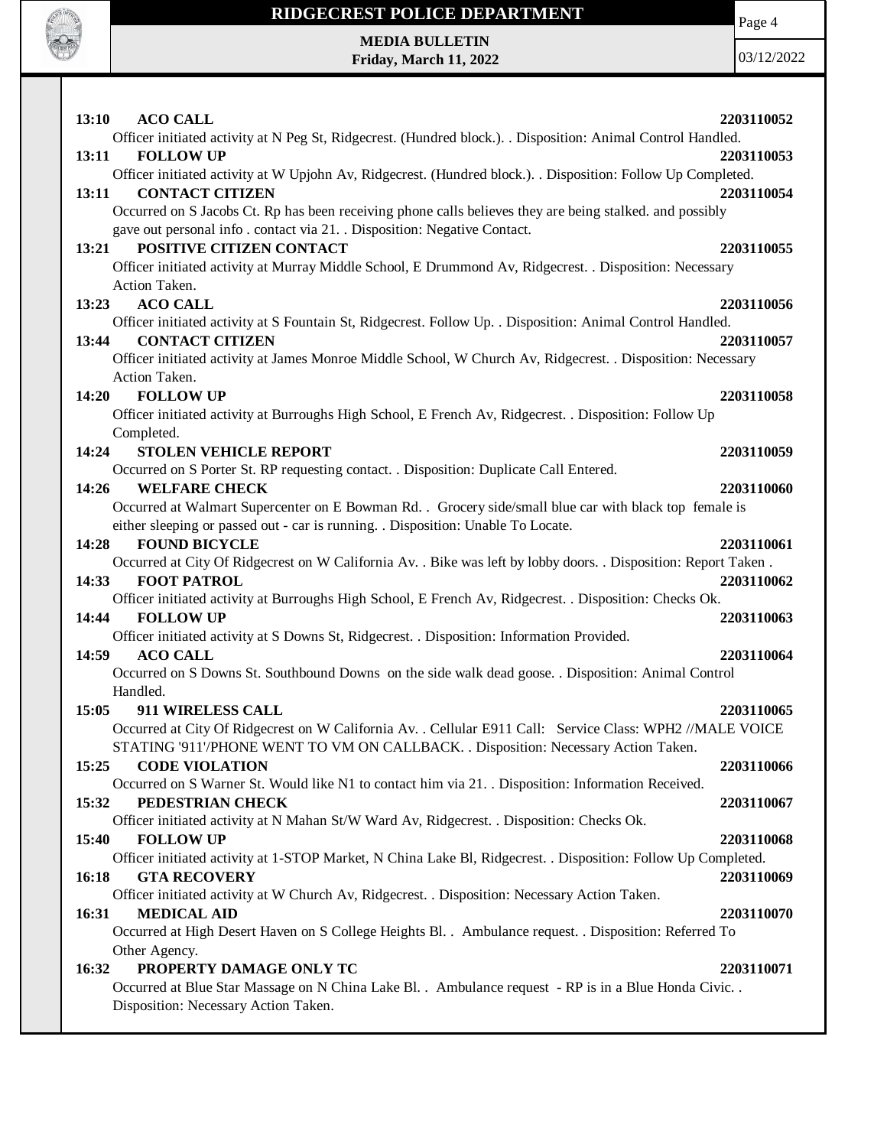

## **RIDGECREST POLICE DEPARTMENT MEDIA BULLETIN**

**Friday, March 11, 2022**

Page 4

| 13:10<br><b>ACO CALL</b>                                                                                                              | 2203110052 |
|---------------------------------------------------------------------------------------------------------------------------------------|------------|
| Officer initiated activity at N Peg St, Ridgecrest. (Hundred block.). . Disposition: Animal Control Handled.                          |            |
| <b>FOLLOW UP</b><br>13:11                                                                                                             | 2203110053 |
| Officer initiated activity at W Upjohn Av, Ridgecrest. (Hundred block.). . Disposition: Follow Up Completed.                          |            |
| <b>CONTACT CITIZEN</b><br>13:11                                                                                                       | 2203110054 |
| Occurred on S Jacobs Ct. Rp has been receiving phone calls believes they are being stalked, and possibly                              |            |
| gave out personal info. contact via 21. . Disposition: Negative Contact.                                                              |            |
| POSITIVE CITIZEN CONTACT<br>13:21                                                                                                     | 2203110055 |
| Officer initiated activity at Murray Middle School, E Drummond Av, Ridgecrest. . Disposition: Necessary                               |            |
| Action Taken.                                                                                                                         |            |
| <b>ACO CALL</b><br>13:23                                                                                                              | 2203110056 |
| Officer initiated activity at S Fountain St, Ridgecrest. Follow Up. . Disposition: Animal Control Handled.                            |            |
| 13:44<br><b>CONTACT CITIZEN</b>                                                                                                       | 2203110057 |
| Officer initiated activity at James Monroe Middle School, W Church Av, Ridgecrest. . Disposition: Necessary                           |            |
| Action Taken.                                                                                                                         |            |
| <b>FOLLOW UP</b><br>14:20                                                                                                             | 2203110058 |
| Officer initiated activity at Burroughs High School, E French Av, Ridgecrest. . Disposition: Follow Up                                |            |
| Completed.                                                                                                                            |            |
| 14:24<br><b>STOLEN VEHICLE REPORT</b>                                                                                                 | 2203110059 |
| Occurred on S Porter St. RP requesting contact. . Disposition: Duplicate Call Entered.                                                |            |
| 14:26<br><b>WELFARE CHECK</b>                                                                                                         | 2203110060 |
| Occurred at Walmart Supercenter on E Bowman Rd. . Grocery side/small blue car with black top female is                                |            |
| either sleeping or passed out - car is running. . Disposition: Unable To Locate.                                                      |            |
| <b>FOUND BICYCLE</b><br>14:28                                                                                                         | 2203110061 |
| Occurred at City Of Ridgecrest on W California Av. . Bike was left by lobby doors. . Disposition: Report Taken.                       |            |
| 14:33<br><b>FOOT PATROL</b>                                                                                                           | 2203110062 |
| Officer initiated activity at Burroughs High School, E French Av, Ridgecrest. . Disposition: Checks Ok.                               |            |
| <b>FOLLOW UP</b><br>14:44                                                                                                             | 2203110063 |
| Officer initiated activity at S Downs St, Ridgecrest. . Disposition: Information Provided.                                            |            |
| <b>ACO CALL</b><br>14:59                                                                                                              | 2203110064 |
| Occurred on S Downs St. Southbound Downs on the side walk dead goose. . Disposition: Animal Control                                   |            |
| Handled.                                                                                                                              |            |
| 15:05<br>911 WIRELESS CALL                                                                                                            | 2203110065 |
| Occurred at City Of Ridgecrest on W California Av. . Cellular E911 Call: Service Class: WPH2 //MALE VOICE                             |            |
| STATING '911'/PHONE WENT TO VM ON CALLBACK. . Disposition: Necessary Action Taken.                                                    |            |
| 15:25<br><b>CODE VIOLATION</b>                                                                                                        | 2203110066 |
| Occurred on S Warner St. Would like N1 to contact him via 21. Disposition: Information Received.                                      |            |
| 15:32<br>PEDESTRIAN CHECK                                                                                                             | 2203110067 |
| Officer initiated activity at N Mahan St/W Ward Av, Ridgecrest. . Disposition: Checks Ok.                                             |            |
| 15:40<br><b>FOLLOW UP</b>                                                                                                             | 2203110068 |
| Officer initiated activity at 1-STOP Market, N China Lake Bl, Ridgecrest. . Disposition: Follow Up Completed.                         |            |
| 16:18<br><b>GTA RECOVERY</b>                                                                                                          | 2203110069 |
| Officer initiated activity at W Church Av, Ridgecrest. . Disposition: Necessary Action Taken.                                         |            |
| <b>MEDICAL AID</b><br>16:31<br>Occurred at High Desert Haven on S College Heights Bl. . Ambulance request. . Disposition: Referred To | 2203110070 |
| Other Agency.                                                                                                                         |            |
| PROPERTY DAMAGE ONLY TC<br>16:32                                                                                                      | 2203110071 |
| Occurred at Blue Star Massage on N China Lake Bl. . Ambulance request - RP is in a Blue Honda Civic. .                                |            |
| Disposition: Necessary Action Taken.                                                                                                  |            |
|                                                                                                                                       |            |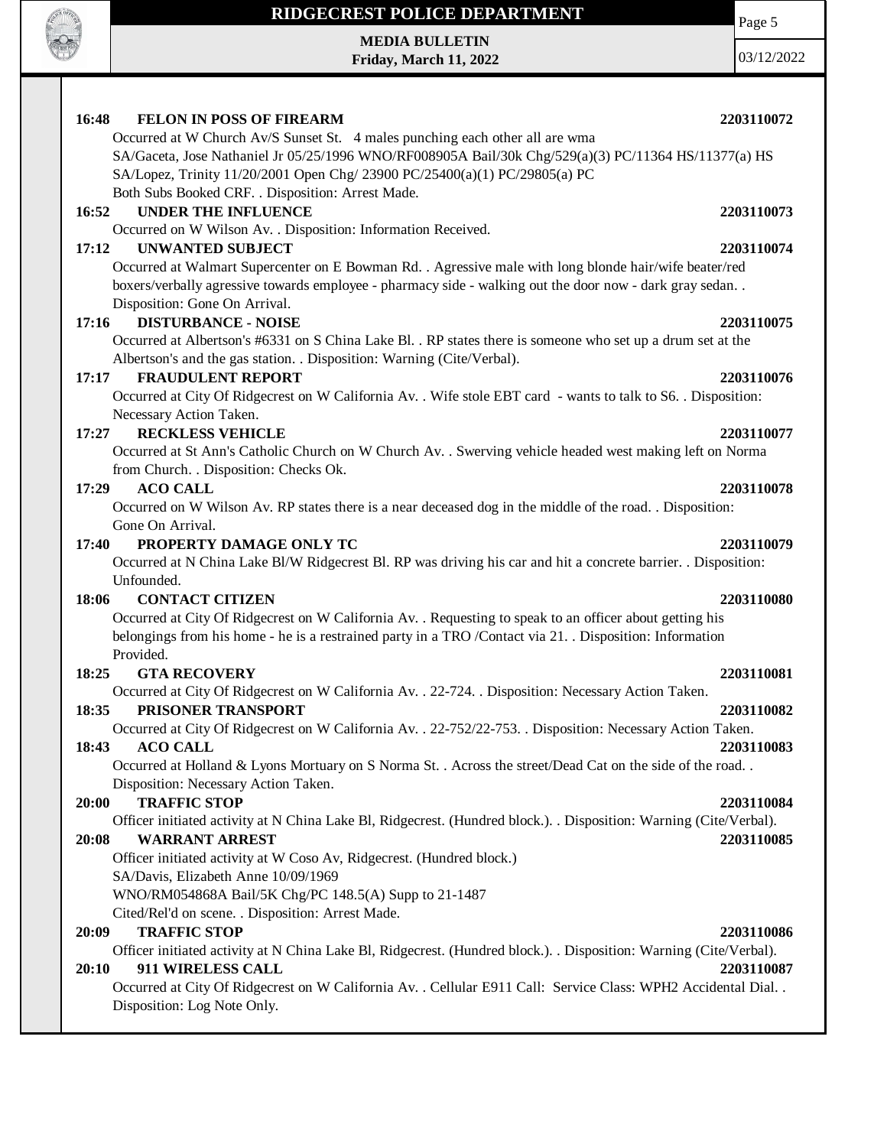

#### **RIDGECREST POLICE DEPARTMENT**

**MEDIA BULLETIN Friday, March 11, 2022** Page 5 03/12/2022

**16:48 FELON IN POSS OF FIREARM 2203110072** Occurred at W Church Av/S Sunset St. 4 males punching each other all are wma SA/Gaceta, Jose Nathaniel Jr 05/25/1996 WNO/RF008905A Bail/30k Chg/529(a)(3) PC/11364 HS/11377(a) HS SA/Lopez, Trinity 11/20/2001 Open Chg/ 23900 PC/25400(a)(1) PC/29805(a) PC Both Subs Booked CRF. . Disposition: Arrest Made. **16:52 UNDER THE INFLUENCE 2203110073** Occurred on W Wilson Av. . Disposition: Information Received. **17:12 UNWANTED SUBJECT 2203110074** Occurred at Walmart Supercenter on E Bowman Rd. . Agressive male with long blonde hair/wife beater/red boxers/verbally agressive towards employee - pharmacy side - walking out the door now - dark gray sedan. . Disposition: Gone On Arrival. **17:16 DISTURBANCE - NOISE 2203110075** Occurred at Albertson's #6331 on S China Lake Bl. . RP states there is someone who set up a drum set at the Albertson's and the gas station. . Disposition: Warning (Cite/Verbal). **17:17 FRAUDULENT REPORT 2203110076** Occurred at City Of Ridgecrest on W California Av. . Wife stole EBT card - wants to talk to S6. . Disposition: Necessary Action Taken. **17:27 RECKLESS VEHICLE 2203110077** Occurred at St Ann's Catholic Church on W Church Av. . Swerving vehicle headed west making left on Norma from Church. . Disposition: Checks Ok. **17:29 ACO CALL 2203110078** Occurred on W Wilson Av. RP states there is a near deceased dog in the middle of the road. . Disposition: Gone On Arrival. **17:40 PROPERTY DAMAGE ONLY TC 2203110079** Occurred at N China Lake Bl/W Ridgecrest Bl. RP was driving his car and hit a concrete barrier. . Disposition: Unfounded. **18:06 CONTACT CITIZEN 2203110080** Occurred at City Of Ridgecrest on W California Av. . Requesting to speak to an officer about getting his belongings from his home - he is a restrained party in a TRO /Contact via 21. . Disposition: Information Provided. **18:25 GTA RECOVERY 2203110081** Occurred at City Of Ridgecrest on W California Av. . 22-724. . Disposition: Necessary Action Taken. **18:35 PRISONER TRANSPORT 2203110082** Occurred at City Of Ridgecrest on W California Av. . 22-752/22-753. . Disposition: Necessary Action Taken. **18:43 ACO CALL 2203110083** Occurred at Holland & Lyons Mortuary on S Norma St. . Across the street/Dead Cat on the side of the road. . Disposition: Necessary Action Taken. **20:00 TRAFFIC STOP 2203110084** Officer initiated activity at N China Lake Bl, Ridgecrest. (Hundred block.). . Disposition: Warning (Cite/Verbal). **20:08 WARRANT ARREST 2203110085** Officer initiated activity at W Coso Av, Ridgecrest. (Hundred block.) SA/Davis, Elizabeth Anne 10/09/1969 WNO/RM054868A Bail/5K Chg/PC 148.5(A) Supp to 21-1487 Cited/Rel'd on scene. . Disposition: Arrest Made. **20:09 TRAFFIC STOP 2203110086** Officer initiated activity at N China Lake Bl, Ridgecrest. (Hundred block.). . Disposition: Warning (Cite/Verbal). **20:10 911 WIRELESS CALL 2203110087** Occurred at City Of Ridgecrest on W California Av. . Cellular E911 Call: Service Class: WPH2 Accidental Dial. . Disposition: Log Note Only.